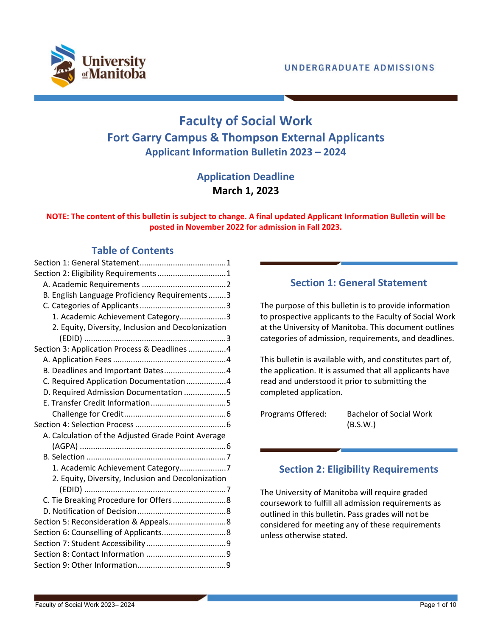

# **Faculty of Social Work Fort Garry Campus & Thompson External Applicants Applicant Information Bulletin 2023 – 2024**

## **Application Deadline March 1, 2023**

## **NOTE: The content of this bulletin is subject to change. A final updated Applicant Information Bulletin will be posted in November 2022 for admission in Fall 2023.**

## **Table of Contents**

| Section 2: Eligibility Requirements 1              |
|----------------------------------------------------|
|                                                    |
| B. English Language Proficiency Requirements3      |
|                                                    |
| 1. Academic Achievement Category3                  |
| 2. Equity, Diversity, Inclusion and Decolonization |
|                                                    |
| Section 3: Application Process & Deadlines 4       |
|                                                    |
| B. Deadlines and Important Dates4                  |
| C. Required Application Documentation4             |
| D. Required Admission Documentation 5              |
|                                                    |
|                                                    |
|                                                    |
| A. Calculation of the Adjusted Grade Point Average |
|                                                    |
|                                                    |
|                                                    |
| 2. Equity, Diversity, Inclusion and Decolonization |
|                                                    |
|                                                    |
|                                                    |
|                                                    |
|                                                    |
|                                                    |
|                                                    |
|                                                    |

## **Section 1: General Statement**

<span id="page-0-0"></span>The purpose of this bulletin is to provide information to prospective applicants to the Faculty of Social Work at the University of Manitoba. This document outlines categories of admission, requirements, and deadlines.

This bulletin is available with, and constitutes part of, the application. It is assumed that all applicants have read and understood it prior to submitting the completed application.

Programs Offered: Bachelor of Social Work (B.S.W.)

## <span id="page-0-1"></span>**Section 2: Eligibility Requirements**

The University of Manitoba will require graded coursework to fulfill all admission requirements as outlined in this bulletin. Pass grades will not be considered for meeting any of these requirements unless otherwise stated.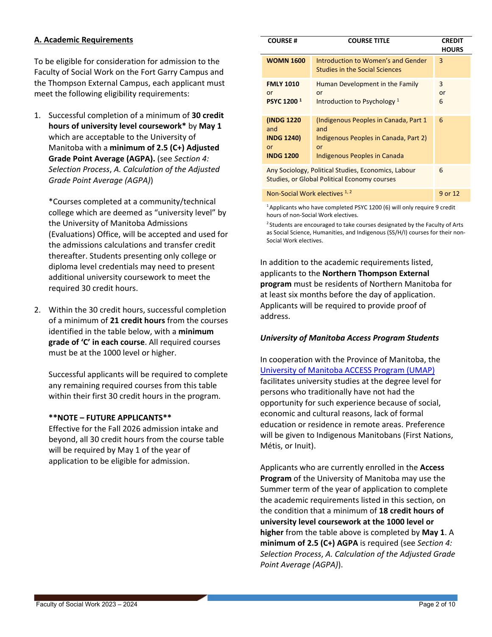### <span id="page-1-0"></span>**A. Academic Requirements**

To be eligible for consideration for admission to the Faculty of Social Work on the Fort Garry Campus and the Thompson External Campus, each applicant must meet the following eligibility requirements:

1. Successful completion of a minimum of **30 credit hours of university level coursework\*** by **May 1** which are acceptable to the University of Manitoba with a **minimum of 2.5 (C+) Adjusted Grade Point Average (AGPA).** (see *[Section 4:](#page-5-1)  [Selection Process](#page-5-1)*, *[A. Calculation of the Adjusted](#page-5-2)  [Grade Point Average \(AGPA\)](#page-5-2)*)

\*Courses completed at a community/technical college which are deemed as "university level" by the University of Manitoba Admissions (Evaluations) Office, will be accepted and used for the admissions calculations and transfer credit thereafter. Students presenting only college or diploma level credentials may need to present additional university coursework to meet the required 30 credit hours.

2. Within the 30 credit hours, successful completion of a minimum of **21 credit hours** from the courses identified in the table below, with a **minimum grade of 'C' in each course**. All required courses must be at the 1000 level or higher.

Successful applicants will be required to complete any remaining required courses from this table within their first 30 credit hours in the program.

#### **\*\*NOTE – FUTURE APPLICANTS\*\***

Effective for the Fall 2026 admission intake and beyond, all 30 credit hours from the course table will be required by May 1 of the year of application to be eligible for admission.

| <b>COURSE#</b>                                                                                                  | <b>COURSE TITLE</b>                                                                                                          | <b>CREDIT</b><br><b>HOURS</b> |
|-----------------------------------------------------------------------------------------------------------------|------------------------------------------------------------------------------------------------------------------------------|-------------------------------|
| <b>WOMN 1600</b>                                                                                                | Introduction to Women's and Gender<br><b>Studies in the Social Sciences</b>                                                  | 3                             |
| <b>FMLY 1010</b><br>or<br><b>PSYC 1200<sup>1</sup></b>                                                          | Human Development in the Family<br>or<br>Introduction to Psychology <sup>1</sup>                                             | 3<br>or<br>6                  |
| (INDG 1220)<br>and<br><b>INDG 1240)</b><br>or<br><b>INDG 1200</b>                                               | (Indigenous Peoples in Canada, Part 1)<br>and<br>Indigenous Peoples in Canada, Part 2)<br>or<br>Indigenous Peoples in Canada | 6                             |
| Any Sociology, Political Studies, Economics, Labour<br>6<br><b>Studies, or Global Political Economy courses</b> |                                                                                                                              |                               |
| Non-Social Work electives 1, 2<br>9 or 12                                                                       |                                                                                                                              |                               |

 $1$  Applicants who have completed PSYC 1200 (6) will only require 9 credit hours of non-Social Work electives.

<sup>2</sup> Students are encouraged to take courses designated by the Faculty of Arts as Social Science, Humanities, and Indigenous (SS/H/I) courses for their non-Social Work electives.

In addition to the academic requirements listed, applicants to the **Northern Thompson External program** must be residents of Northern Manitoba for at least six months before the day of application. Applicants will be required to provide proof of address.

#### *University of Manitoba Access Program Students*

In cooperation with the Province of Manitoba, the [University of Manitoba ACCESS Program \(UMAP\)](https://umanitoba.ca/extended-education/programs-and-courses/pathways-degree-studies/access-program) facilitates university studies at the degree level for persons who traditionally have not had the opportunity for such experience because of social, economic and cultural reasons, lack of formal education or residence in remote areas. Preference will be given to Indigenous Manitobans (First Nations, Métis, or Inuit).

Applicants who are currently enrolled in the **Access Program** of the University of Manitoba may use the Summer term of the year of application to complete the academic requirements listed in this section, on the condition that a minimum of **18 credit hours of university level coursework at the 1000 level or higher** from the table above is completed by **May 1**. A **minimum of 2.5 (C+) AGPA** is required (see *[Section 4:](#page-5-1)  [Selection Process](#page-5-1)*, *[A. Calculation of the Adjusted Grade](#page-5-2)  [Point Average \(AGPA\)](#page-5-2)*).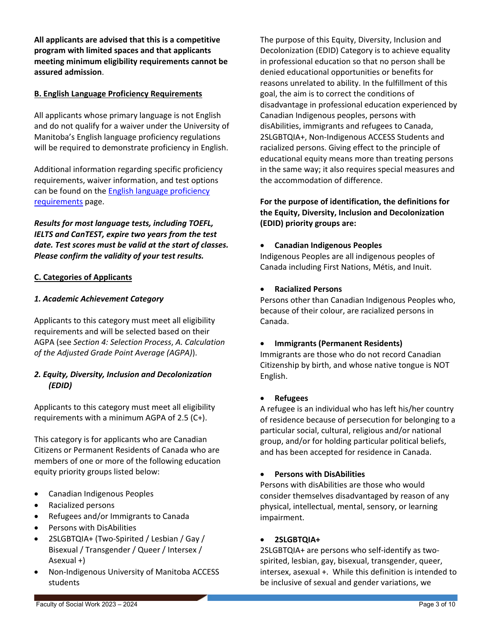**All applicants are advised that this is a competitive program with limited spaces and that applicants meeting minimum eligibility requirements cannot be assured admission**.

### <span id="page-2-0"></span>**B. English Language Proficiency Requirements**

All applicants whose primary language is not English and do not qualify for a waiver under the University of Manitoba's English language proficiency regulations will be required to demonstrate proficiency in English.

Additional information regarding specific proficiency requirements, waiver information, and test options can be found on the [English language proficiency](https://umanitoba.ca/admissions/undergraduate/requirements/english-language-proficiency)  [requirements](https://umanitoba.ca/admissions/undergraduate/requirements/english-language-proficiency) page.

*Results for most language tests, including TOEFL, IELTS and CanTEST, expire two years from the test date. Test scores must be valid at the start of classes. Please confirm the validity of your test results.*

### <span id="page-2-1"></span>**C. Categories of Applicants**

### <span id="page-2-2"></span>*1. Academic Achievement Category*

Applicants to this category must meet all eligibility requirements and will be selected based on their AGPA (see *[Section 4: Selection Process](#page-5-1)*, *[A. Calculation](#page-5-2)  [of the Adjusted Grade Point Average \(AGPA\)](#page-5-2)*).

### <span id="page-2-3"></span>*2. Equity, Diversity, Inclusion and Decolonization (EDID)*

Applicants to this category must meet all eligibility requirements with a minimum AGPA of 2.5 (C+).

This category is for applicants who are Canadian Citizens or Permanent Residents of Canada who are members of one or more of the following education equity priority groups listed below:

- Canadian Indigenous Peoples
- Racialized persons
- Refugees and/or Immigrants to Canada
- Persons with DisAbilities
- 2SLGBTQIA+ (Two-Spirited / Lesbian / Gay / Bisexual / Transgender / Queer / Intersex / Asexual +)
- Non-Indigenous University of Manitoba ACCESS students

The purpose of this Equity, Diversity, Inclusion and Decolonization (EDID) Category is to achieve equality in professional education so that no person shall be denied educational opportunities or benefits for reasons unrelated to ability. In the fulfillment of this goal, the aim is to correct the conditions of disadvantage in professional education experienced by Canadian Indigenous peoples, persons with disAbilities, immigrants and refugees to Canada, 2SLGBTQIA+, Non-Indigenous ACCESS Students and racialized persons. Giving effect to the principle of educational equity means more than treating persons in the same way; it also requires special measures and the accommodation of difference.

**For the purpose of identification, the definitions for the Equity, Diversity, Inclusion and Decolonization (EDID) priority groups are:**

### • **Canadian Indigenous Peoples**

Indigenous Peoples are all indigenous peoples of Canada including First Nations, Métis, and Inuit.

• **Racialized Persons**

Persons other than Canadian Indigenous Peoples who, because of their colour, are racialized persons in Canada.

### • **Immigrants (Permanent Residents)**

Immigrants are those who do not record Canadian Citizenship by birth, and whose native tongue is NOT English.

### • **Refugees**

A refugee is an individual who has left his/her country of residence because of persecution for belonging to a particular social, cultural, religious and/or national group, and/or for holding particular political beliefs, and has been accepted for residence in Canada.

### • **Persons with DisAbilities**

Persons with disAbilities are those who would consider themselves disadvantaged by reason of any physical, intellectual, mental, sensory, or learning impairment.

### • **2SLGBTQIA+**

2SLGBTQIA+ are persons who self-identify as twospirited, lesbian, gay, bisexual, transgender, queer, intersex, asexual +. While this definition is intended to be inclusive of sexual and gender variations, we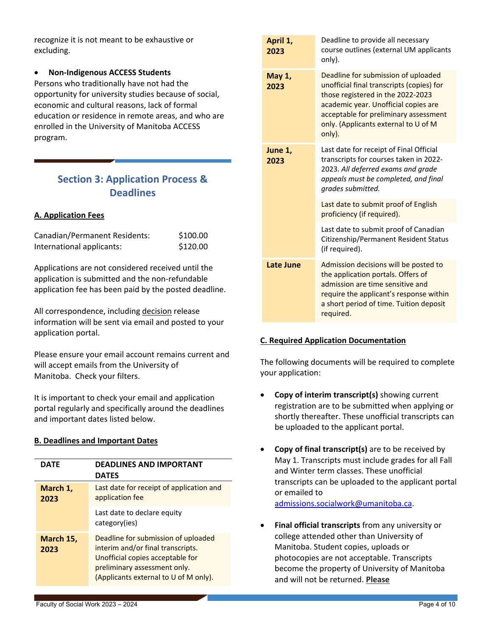recognize it is not meant to be exhaustive or excluding.

### • **Non-Indigenous ACCESS Students**

Persons who traditionally have not had the opportunity for university studies because of social, economic and cultural reasons, lack of formal education or residence in remote areas, and who are enrolled in the University of Manitoba ACCESS program.

## <span id="page-3-0"></span>**Section 3: Application Process & Deadlines**

## <span id="page-3-1"></span>**A. Application Fees**

| Canadian/Permanent Residents: | \$100.00 |
|-------------------------------|----------|
| International applicants:     | \$120.00 |

Applications are not considered received until the application is submitted and the non-refundable application fee has been paid by the posted deadline.

All correspondence, including decision release information will be sent via email and posted to your application portal.

Please ensure your email account remains current and will accept emails from the University of Manitoba. Check your filters.

It is important to check your email and application portal regularly and specifically around the deadlines and important dates listed below.

### <span id="page-3-2"></span>**B. Deadlines and Important Dates**

| <b>DATE</b>       | <b>DEADLINES AND IMPORTANT</b><br><b>DATES</b>                                                                                                                                        |
|-------------------|---------------------------------------------------------------------------------------------------------------------------------------------------------------------------------------|
| March 1,<br>2023  | Last date for receipt of application and<br>application fee                                                                                                                           |
|                   | Last date to declare equity<br>category(ies)                                                                                                                                          |
| March 15,<br>2023 | Deadline for submission of uploaded<br>interim and/or final transcripts.<br>Unofficial copies acceptable for<br>preliminary assessment only.<br>(Applicants external to U of M only). |

|  | April 1,<br>2023 | Deadline to provide all necessary<br>course outlines (external UM applicants<br>only).                                                                                                                                                                   |
|--|------------------|----------------------------------------------------------------------------------------------------------------------------------------------------------------------------------------------------------------------------------------------------------|
|  | May 1,<br>2023   | Deadline for submission of uploaded<br>unofficial final transcripts (copies) for<br>those registered in the 2022-2023<br>academic year. Unofficial copies are<br>acceptable for preliminary assessment<br>only. (Applicants external to U of M<br>only). |
|  | June 1,<br>2023  | Last date for receipt of Final Official<br>transcripts for courses taken in 2022-<br>2023. All deferred exams and grade<br>appeals must be completed, and final<br>grades submitted.                                                                     |
|  |                  | Last date to submit proof of English<br>proficiency (if required).                                                                                                                                                                                       |
|  |                  | Last date to submit proof of Canadian<br>Citizenship/Permanent Resident Status<br>(if required).                                                                                                                                                         |
|  | Late June        | Admission decisions will be posted to<br>the application portals. Offers of<br>admission are time sensitive and<br>require the applicant's response within<br>a short period of time. Tuition deposit<br>required.                                       |

## <span id="page-3-3"></span>**C. Required Application Documentation**

The following documents will be required to complete your application:

- **Copy of interim transcript(s)** showing current registration are to be submitted when applying or shortly thereafter. These unofficial transcripts can be uploaded to the applicant portal.
- **Copy of final transcript(s)** are to be received by May 1. Transcripts must include grades for all Fall and Winter term classes. These unofficial transcripts can be uploaded to the applicant portal or emailed to [admissions.socialwork@umanitoba.ca.](mailto:admissions.socialwork@umanitoba.ca)
- **Final official transcripts** from any university or college attended other than University of Manitoba. Student copies, uploads or photocopies are not acceptable. Transcripts become the property of University of Manitoba and will not be returned. **Please**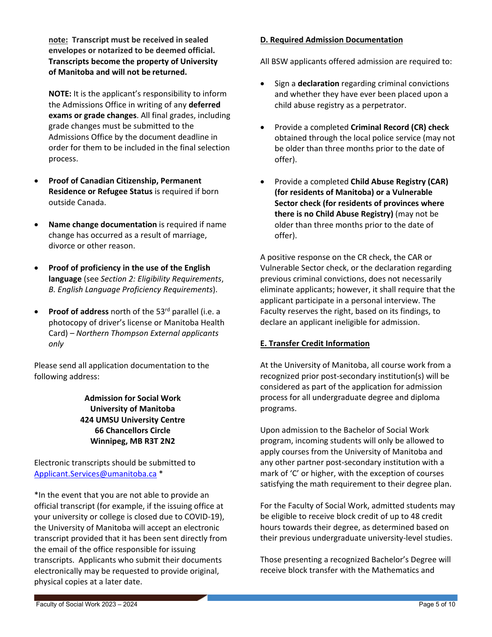**note: Transcript must be received in sealed envelopes or notarized to be deemed official. Transcripts become the property of University of Manitoba and will not be returned.**

**NOTE:** It is the applicant's responsibility to inform the Admissions Office in writing of any **deferred exams or grade changes**. All final grades, including grade changes must be submitted to the Admissions Office by the document deadline in order for them to be included in the final selection process.

- **Proof of Canadian Citizenship, Permanent Residence or Refugee Status** is required if born outside Canada.
- **Name change documentation** is required if name change has occurred as a result of marriage, divorce or other reason.
- **Proof of proficiency in the use of the English language** (see *[Section 2: Eligibility Requirements](#page-0-1)*, *[B. English Language Proficiency Requirements](#page-2-0)*).
- **Proof of address** north of the 53<sup>rd</sup> parallel (i.e. a photocopy of driver's license or Manitoba Health Card) – *Northern Thompson External applicants only*

Please send all application documentation to the following address:

## **Admission for Social Work University of Manitoba 424 UMSU University Centre 66 Chancellors Circle Winnipeg, MB R3T 2N2**

Electronic transcripts should be submitted to [Applicant.Services@umanitoba.ca](mailto:Applicant.Services@umanitoba.ca) \*

\*In the event that you are not able to provide an official transcript (for example, if the issuing office at your university or college is closed due to COVID-19), the University of Manitoba will accept an electronic transcript provided that it has been sent directly from the email of the office responsible for issuing transcripts. Applicants who submit their documents electronically may be requested to provide original, physical copies at a later date.

### <span id="page-4-0"></span>**D. Required Admission Documentation**

All BSW applicants offered admission are required to:

- Sign a **declaration** regarding criminal convictions and whether they have ever been placed upon a child abuse registry as a perpetrator.
- Provide a completed **Criminal Record (CR) check** obtained through the local police service (may not be older than three months prior to the date of offer).
- Provide a completed **Child Abuse Registry (CAR) (for residents of Manitoba) or a Vulnerable Sector check (for residents of provinces where there is no Child Abuse Registry)** (may not be older than three months prior to the date of offer).

A positive response on the CR check, the CAR or Vulnerable Sector check, or the declaration regarding previous criminal convictions, does not necessarily eliminate applicants; however, it shall require that the applicant participate in a personal interview. The Faculty reserves the right, based on its findings, to declare an applicant ineligible for admission.

### <span id="page-4-1"></span>**E. Transfer Credit Information**

At the University of Manitoba, all course work from a recognized prior post-secondary institution(s) will be considered as part of the application for admission process for all undergraduate degree and diploma programs.

Upon admission to the Bachelor of Social Work program, incoming students will only be allowed to apply courses from the University of Manitoba and any other partner post-secondary institution with a mark of 'C' or higher, with the exception of courses satisfying the math requirement to their degree plan.

For the Faculty of Social Work, admitted students may be eligible to receive block credit of up to 48 credit hours towards their degree, as determined based on their previous undergraduate university-level studies.

Those presenting a recognized Bachelor's Degree will receive block transfer with the Mathematics and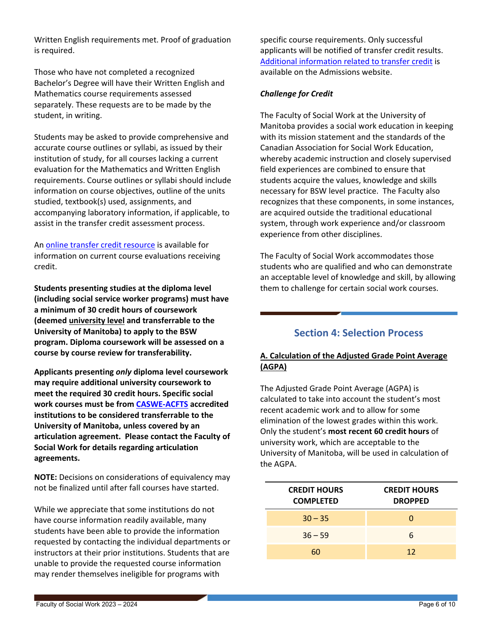Written English requirements met. Proof of graduation is required.

Those who have not completed a recognized Bachelor's Degree will have their Written English and Mathematics course requirements assessed separately. These requests are to be made by the student, in writing.

Students may be asked to provide comprehensive and accurate course outlines or syllabi, as issued by their institution of study, for all courses lacking a current evaluation for the Mathematics and Written English requirements. Course outlines or syllabi should include information on course objectives, outline of the units studied, textbook(s) used, assignments, and accompanying laboratory information, if applicable, to assist in the transfer credit assessment process.

An [online transfer credit resource](https://aurora.umanitoba.ca/banprod/ksstransequiv.p_trans_eq_main) is available for information on current course evaluations receiving credit.

**Students presenting studies at the diploma level (including social service worker programs) must have a minimum of 30 credit hours of coursework (deemed university level and transferrable to the University of Manitoba) to apply to the BSW program. Diploma coursework will be assessed on a course by course review for transferability.** 

**Applicants presenting** *only* **diploma level coursework may require additional university coursework to meet the required 30 credit hours. Specific social work courses must be fro[m CASWE-ACFTS](https://caswe-acfts.ca/home/) accredited institutions to be considered transferrable to the University of Manitoba, unless covered by an articulation agreement. Please contact the Faculty of Social Work for details regarding articulation agreements.**

**NOTE:** Decisions on considerations of equivalency may not be finalized until after fall courses have started.

While we appreciate that some institutions do not have course information readily available, many students have been able to provide the information requested by contacting the individual departments or instructors at their prior institutions. Students that are unable to provide the requested course information may render themselves ineligible for programs with

specific course requirements. Only successful applicants will be notified of transfer credit results. [Additional information related to transfer credit](https://umanitoba.ca/admissions/undergraduate/requirements/transfer-credit) is available on the Admissions website.

## <span id="page-5-0"></span>*Challenge for Credit*

The Faculty of Social Work at the University of Manitoba provides a social work education in keeping with its mission statement and the standards of the Canadian Association for Social Work Education, whereby academic instruction and closely supervised field experiences are combined to ensure that students acquire the values, knowledge and skills necessary for BSW level practice. The Faculty also recognizes that these components, in some instances, are acquired outside the traditional educational system, through work experience and/or classroom experience from other disciplines.

The Faculty of Social Work accommodates those students who are qualified and who can demonstrate an acceptable level of knowledge and skill, by allowing them to challenge for certain social work courses.

## **Section 4: Selection Process**

## <span id="page-5-2"></span><span id="page-5-1"></span>**A. Calculation of the Adjusted Grade Point Average (AGPA)**

The Adjusted Grade Point Average (AGPA) is calculated to take into account the student's most recent academic work and to allow for some elimination of the lowest grades within this work. Only the student's **most recent 60 credit hours** of university work, which are acceptable to the University of Manitoba, will be used in calculation of the AGPA.

| <b>CREDIT HOURS</b><br><b>COMPLETED</b> | <b>CREDIT HOURS</b><br><b>DROPPED</b> |
|-----------------------------------------|---------------------------------------|
| $30 - 35$                               | O                                     |
| $36 - 59$                               | 6                                     |
| 60                                      | 12                                    |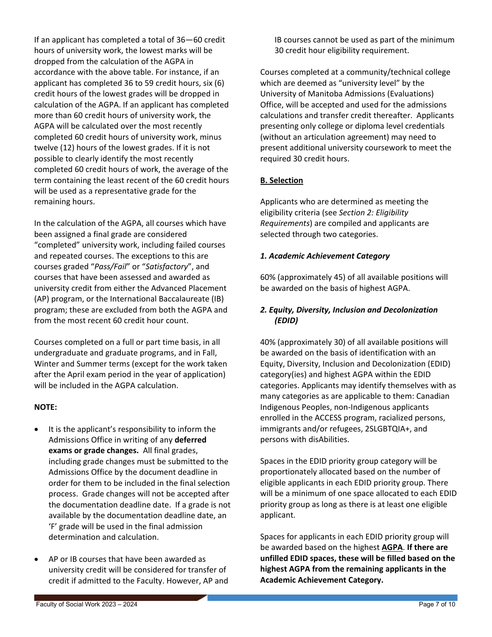If an applicant has completed a total of 36—60 credit hours of university work, the lowest marks will be dropped from the calculation of the AGPA in accordance with the above table. For instance, if an applicant has completed 36 to 59 credit hours, six (6) credit hours of the lowest grades will be dropped in calculation of the AGPA. If an applicant has completed more than 60 credit hours of university work, the AGPA will be calculated over the most recently completed 60 credit hours of university work, minus twelve (12) hours of the lowest grades. If it is not possible to clearly identify the most recently completed 60 credit hours of work, the average of the term containing the least recent of the 60 credit hours will be used as a representative grade for the remaining hours.

In the calculation of the AGPA, all courses which have been assigned a final grade are considered "completed" university work, including failed courses and repeated courses. The exceptions to this are courses graded "*Pass/Fail*" or "*Satisfactory*", and courses that have been assessed and awarded as university credit from either the Advanced Placement (AP) program, or the International Baccalaureate (IB) program; these are excluded from both the AGPA and from the most recent 60 credit hour count.

Courses completed on a full or part time basis, in all undergraduate and graduate programs, and in Fall, Winter and Summer terms (except for the work taken after the April exam period in the year of application) will be included in the AGPA calculation.

### **NOTE:**

- It is the applicant's responsibility to inform the Admissions Office in writing of any **deferred exams or grade changes.** All final grades, including grade changes must be submitted to the Admissions Office by the document deadline in order for them to be included in the final selection process. Grade changes will not be accepted after the documentation deadline date. If a grade is not available by the documentation deadline date, an 'F' grade will be used in the final admission determination and calculation.
- AP or IB courses that have been awarded as university credit will be considered for transfer of credit if admitted to the Faculty. However, AP and

IB courses cannot be used as part of the minimum 30 credit hour eligibility requirement.

Courses completed at a community/technical college which are deemed as "university level" by the University of Manitoba Admissions (Evaluations) Office, will be accepted and used for the admissions calculations and transfer credit thereafter. Applicants presenting only college or diploma level credentials (without an articulation agreement) may need to present additional university coursework to meet the required 30 credit hours.

### <span id="page-6-0"></span>**B. Selection**

Applicants who are determined as meeting the eligibility criteria (see *[Section 2: Eligibility](#page-0-1)  [Requirements](#page-0-1)*) are compiled and applicants are selected through two categories.

### <span id="page-6-1"></span>*1. Academic Achievement Category*

60% (approximately 45) of all available positions will be awarded on the basis of highest AGPA.

## <span id="page-6-2"></span>*2. Equity, Diversity, Inclusion and Decolonization (EDID)*

40% (approximately 30) of all available positions will be awarded on the basis of identification with an Equity, Diversity, Inclusion and Decolonization (EDID) category(ies) and highest AGPA within the EDID categories. Applicants may identify themselves with as many categories as are applicable to them: Canadian Indigenous Peoples, non-Indigenous applicants enrolled in the ACCESS program, racialized persons, immigrants and/or refugees, 2SLGBTQIA+, and persons with disAbilities.

Spaces in the EDID priority group category will be proportionately allocated based on the number of eligible applicants in each EDID priority group. There will be a minimum of one space allocated to each EDID priority group as long as there is at least one eligible applicant.

Spaces for applicants in each EDID priority group will be awarded based on the highest **AGPA**. **If there are unfilled EDID spaces, these will be filled based on the highest AGPA from the remaining applicants in the Academic Achievement Category.**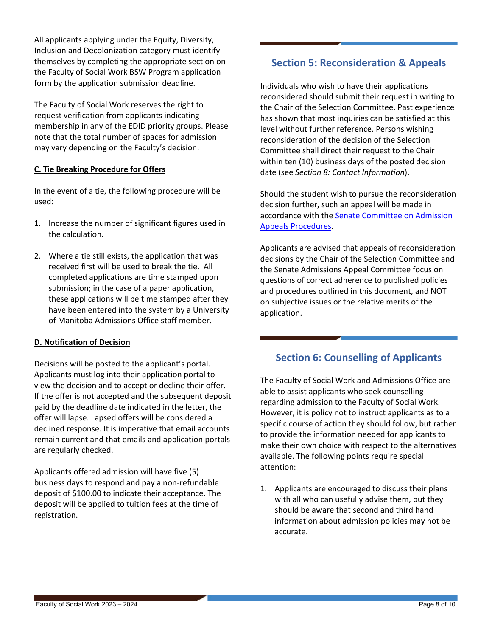All applicants applying under the Equity, Diversity, Inclusion and Decolonization category must identify themselves by completing the appropriate section on the Faculty of Social Work BSW Program application form by the application submission deadline.

The Faculty of Social Work reserves the right to request verification from applicants indicating membership in any of the EDID priority groups. Please note that the total number of spaces for admission may vary depending on the Faculty's decision.

### <span id="page-7-0"></span>**C. Tie Breaking Procedure for Offers**

In the event of a tie, the following procedure will be used:

- 1. Increase the number of significant figures used in the calculation.
- 2. Where a tie still exists, the application that was received first will be used to break the tie. All completed applications are time stamped upon submission; in the case of a paper application, these applications will be time stamped after they have been entered into the system by a University of Manitoba Admissions Office staff member.

## <span id="page-7-1"></span>**D. Notification of Decision**

Decisions will be posted to the applicant's portal. Applicants must log into their application portal to view the decision and to accept or decline their offer. If the offer is not accepted and the subsequent deposit paid by the deadline date indicated in the letter, the offer will lapse. Lapsed offers will be considered a declined response. It is imperative that email accounts remain current and that emails and application portals are regularly checked.

Applicants offered admission will have five (5) business days to respond and pay a non-refundable deposit of \$100.00 to indicate their acceptance. The deposit will be applied to tuition fees at the time of registration.

## <span id="page-7-2"></span>**Section 5: Reconsideration & Appeals**

Individuals who wish to have their applications reconsidered should submit their request in writing to the Chair of the Selection Committee. Past experience has shown that most inquiries can be satisfied at this level without further reference. Persons wishing reconsideration of the decision of the Selection Committee shall direct their request to the Chair within ten (10) business days of the posted decision date (see *[Section 8: Contact Information](#page-8-1)*).

Should the student wish to pursue the reconsideration decision further, such an appeal will be made in accordance with the **Senate Committee on Admission** [Appeals Procedures.](https://umanitoba.ca/admin/governance/governing_documents/students/admission_appeals.html)

Applicants are advised that appeals of reconsideration decisions by the Chair of the Selection Committee and the Senate Admissions Appeal Committee focus on questions of correct adherence to published policies and procedures outlined in this document, and NOT on subjective issues or the relative merits of the application.

## <span id="page-7-3"></span>**Section 6: Counselling of Applicants**

The Faculty of Social Work and Admissions Office are able to assist applicants who seek counselling regarding admission to the Faculty of Social Work. However, it is policy not to instruct applicants as to a specific course of action they should follow, but rather to provide the information needed for applicants to make their own choice with respect to the alternatives available. The following points require special attention:

1. Applicants are encouraged to discuss their plans with all who can usefully advise them, but they should be aware that second and third hand information about admission policies may not be accurate.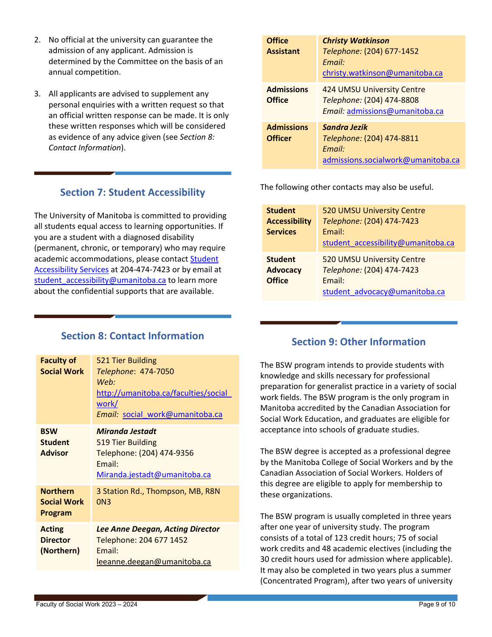- 2. No official at the university can guarantee the admission of any applicant. Admission is determined by the Committee on the basis of an annual competition.
- 3. All applicants are advised to supplement any personal enquiries with a written request so that an official written response can be made. It is only these written responses which will be considered as evidence of any advice given (see *[Section 8:](#page-8-1)  [Contact Information](#page-8-1)*).

## **Section 7: Student Accessibility**

<span id="page-8-0"></span>The University of Manitoba is committed to providing all students equal access to learning opportunities. If you are a student with a diagnosed disability (permanent, chronic, or temporary) who may require academic accommodations, please contact Student [Accessibility Services](https://umanitoba.ca/student-supports/accessibility) at 204-474-7423 or by email at student accessibility@umanitoba.ca to learn more about the confidential supports that are available.

#### **Office Assistant** *Christy Watkinson Telephone:* (204) 677-1452 *Email:* [christy.watkinson@umanitoba.ca](mailto:christy.watkinson@umanitoba.ca) **Admissions Office** 424 UMSU University Centre *Telephone:* (204) 474-8808 *Email:* [admissions@umanitoba.ca](mailto:admissions@umanitoba.ca) **Admissions Officer** *Sandra Jezik Telephone:* (204) 474-8811 *Email:* [admissions.socialwork@umanitoba.ca](mailto:admissions.socialwork@umanitoba.ca)

The following other contacts may also be useful.

| <b>Student</b><br><b>Accessibility</b><br><b>Services</b> | 520 UMSU University Centre<br>Telephone: (204) 474-7423<br>Email:<br>student accessibility@umanitoba.ca |
|-----------------------------------------------------------|---------------------------------------------------------------------------------------------------------|
| <b>Student</b><br><b>Advocacy</b><br><b>Office</b>        | 520 UMSU University Centre<br>Telephone: (204) 474-7423<br>Email:<br>student advocacy@umanitoba.ca      |

## **Section 8: Contact Information**

<span id="page-8-1"></span>

| <b>Faculty of</b><br><b>Social Work</b>          | 521 Tier Building<br>Telephone: 474-7050<br>Web:<br>http://umanitoba.ca/faculties/social<br>work/<br>Email: social work@umanitoba.ca |
|--------------------------------------------------|--------------------------------------------------------------------------------------------------------------------------------------|
| <b>BSW</b><br><b>Student</b><br><b>Advisor</b>   | <b>Miranda Jestadt</b><br>519 Tier Building<br>Telephone: (204) 474-9356<br>Email:<br>Miranda.jestadt@umanitoba.ca                   |
| <b>Northern</b><br><b>Social Work</b><br>Program | 3 Station Rd., Thompson, MB, R8N<br>ON <sub>3</sub>                                                                                  |
| <b>Acting</b><br><b>Director</b><br>(Northern)   | <b>Lee Anne Deegan, Acting Director</b><br>Telephone: 204 677 1452<br>Email:<br>leeanne.deegan@umanitoba.ca                          |

## **Section 9: Other Information**

<span id="page-8-2"></span>The BSW program intends to provide students with knowledge and skills necessary for professional preparation for generalist practice in a variety of social work fields. The BSW program is the only program in Manitoba accredited by the Canadian Association for Social Work Education, and graduates are eligible for acceptance into schools of graduate studies.

The BSW degree is accepted as a professional degree by the Manitoba College of Social Workers and by the Canadian Association of Social Workers. Holders of this degree are eligible to apply for membership to these organizations.

The BSW program is usually completed in three years after one year of university study. The program consists of a total of 123 credit hours; 75 of social work credits and 48 academic electives (including the 30 credit hours used for admission where applicable). It may also be completed in two years plus a summer (Concentrated Program), after two years of university